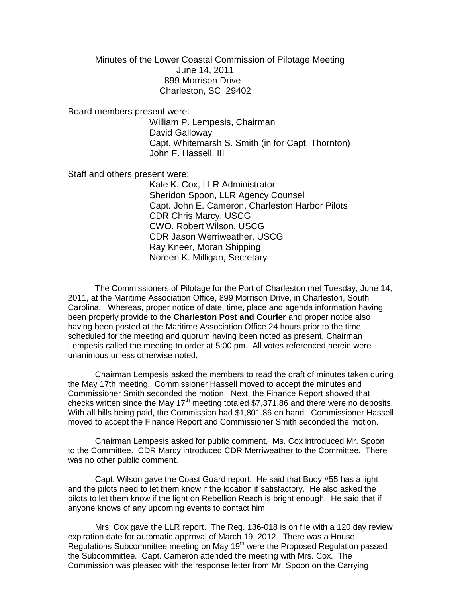Minutes of the Lower Coastal Commission of Pilotage Meeting June 14, 2011 899 Morrison Drive Charleston, SC 29402

Board members present were:

William P. Lempesis, Chairman David Galloway Capt. Whitemarsh S. Smith (in for Capt. Thornton) John F. Hassell, III

Staff and others present were:

Kate K. Cox, LLR Administrator Sheridon Spoon, LLR Agency Counsel Capt. John E. Cameron, Charleston Harbor Pilots CDR Chris Marcy, USCG CWO. Robert Wilson, USCG CDR Jason Werriweather, USCG Ray Kneer, Moran Shipping Noreen K. Milligan, Secretary

The Commissioners of Pilotage for the Port of Charleston met Tuesday, June 14, 2011, at the Maritime Association Office, 899 Morrison Drive, in Charleston, South Carolina. Whereas, proper notice of date, time, place and agenda information having been properly provide to the **Charleston Post and Courier** and proper notice also having been posted at the Maritime Association Office 24 hours prior to the time scheduled for the meeting and quorum having been noted as present, Chairman Lempesis called the meeting to order at 5:00 pm. All votes referenced herein were unanimous unless otherwise noted.

Chairman Lempesis asked the members to read the draft of minutes taken during the May 17th meeting. Commissioner Hassell moved to accept the minutes and Commissioner Smith seconded the motion. Next, the Finance Report showed that checks written since the May  $17<sup>th</sup>$  meeting totaled \$7,371.86 and there were no deposits. With all bills being paid, the Commission had \$1,801.86 on hand. Commissioner Hassell moved to accept the Finance Report and Commissioner Smith seconded the motion.

Chairman Lempesis asked for public comment. Ms. Cox introduced Mr. Spoon to the Committee. CDR Marcy introduced CDR Merriweather to the Committee. There was no other public comment.

Capt. Wilson gave the Coast Guard report. He said that Buoy #55 has a light and the pilots need to let them know if the location if satisfactory. He also asked the pilots to let them know if the light on Rebellion Reach is bright enough. He said that if anyone knows of any upcoming events to contact him.

Mrs. Cox gave the LLR report. The Reg. 136-018 is on file with a 120 day review expiration date for automatic approval of March 19, 2012. There was a House Regulations Subcommittee meeting on May 19<sup>th</sup> were the Proposed Regulation passed the Subcommittee. Capt. Cameron attended the meeting with Mrs. Cox. The Commission was pleased with the response letter from Mr. Spoon on the Carrying